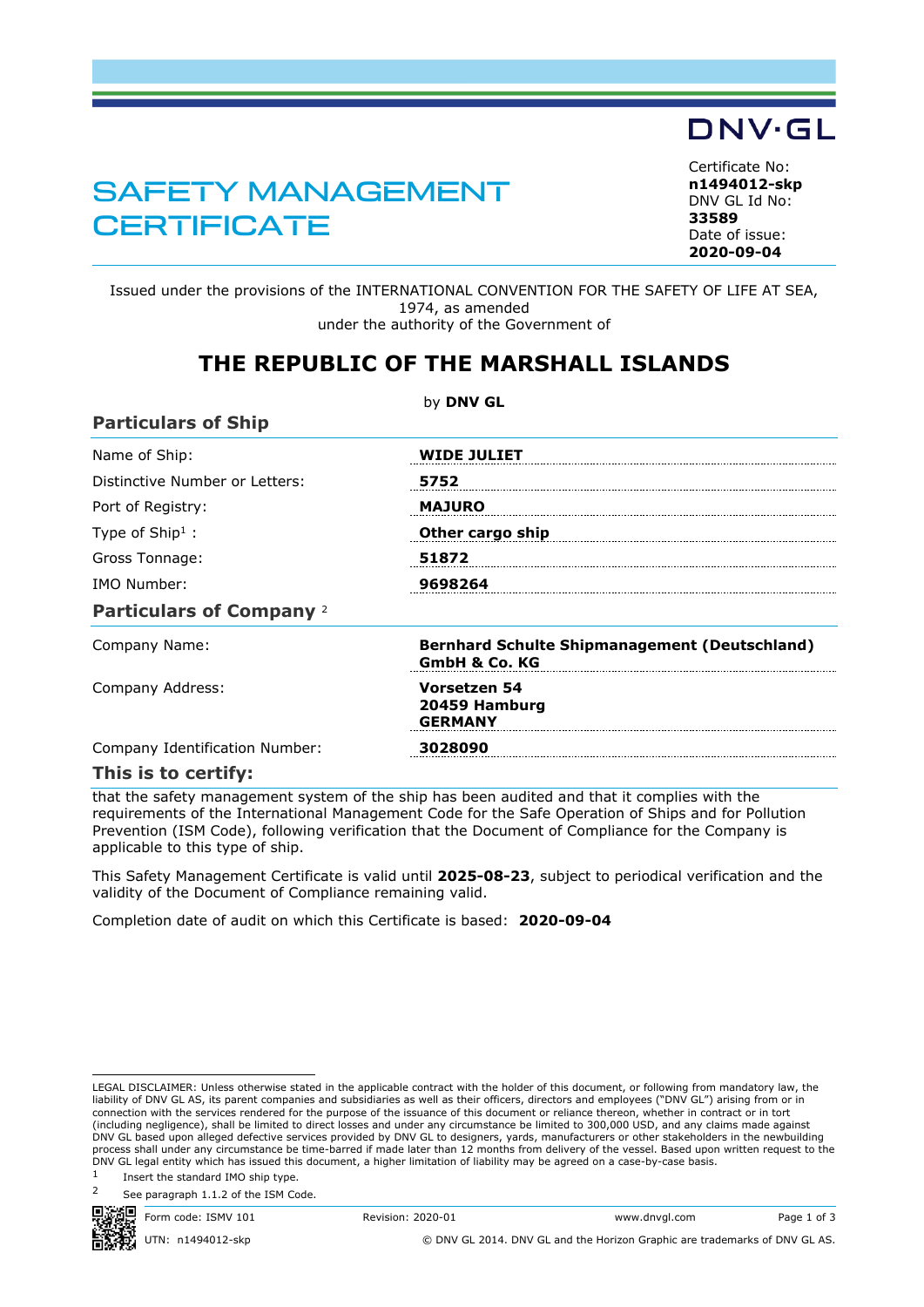## SAFETY MANAGEMENT **CERTIFICATE**

Certificate No: **n1494012-skp** DNV GL Id No: **33589** Date of issue:

DNV·GL

**2020-09-04**

Issued under the provisions of the INTERNATIONAL CONVENTION FOR THE SAFETY OF LIFE AT SEA, 1974, as amended under the authority of the Government of

### **THE REPUBLIC OF THE MARSHALL ISLANDS**

|                                 | by DNV GL                                                                        |
|---------------------------------|----------------------------------------------------------------------------------|
| <b>Particulars of Ship</b>      |                                                                                  |
| Name of Ship:                   | <b>WIDE JULIET</b>                                                               |
| Distinctive Number or Letters:  | 5752                                                                             |
| Port of Registry:               | <b>MAJURO</b>                                                                    |
| Type of Ship <sup>1</sup> :     | Other cargo ship                                                                 |
| Gross Tonnage:                  | 51872                                                                            |
| IMO Number:                     | 9698264                                                                          |
| <b>Particulars of Company 2</b> |                                                                                  |
| Company Name:                   | <b>Bernhard Schulte Shipmanagement (Deutschland)</b><br><b>GmbH &amp; Co. KG</b> |
| Company Address:                | Vorsetzen 54<br>20459 Hamburg<br><b>GERMANY</b>                                  |
| Company Identification Number:  | 3028090                                                                          |
| This is to certify:             |                                                                                  |

that the safety management system of the ship has been audited and that it complies with the requirements of the International Management Code for the Safe Operation of Ships and for Pollution Prevention (ISM Code), following verification that the Document of Compliance for the Company is applicable to this type of ship.

This Safety Management Certificate is valid until **2025-08-23**, subject to periodical verification and the validity of the Document of Compliance remaining valid.

Completion date of audit on which this Certificate is based: **2020-09-04**

See paragraph 1.1.2 of the ISM Code.



Form code: ISMV 101 Revision: 2020-01 www.dnvgl.com Page 1 of 3

UTN: n1494012-skp © DNV GL 2014. DNV GL and the Horizon Graphic are trademarks of DNV GL AS.

LEGAL DISCLAIMER: Unless otherwise stated in the applicable contract with the holder of this document, or following from mandatory law, the liability of DNV GL AS, its parent companies and subsidiaries as well as their officers, directors and employees ("DNV GL") arising from or in<br>connection with the services rendered for the purpose of the issuance of this d (including negligence), shall be limited to direct losses and under any circumstance be limited to 300,000 USD, and any claims made against<br>DNV GL based upon alleged defective services provided by DNV GL to designers, yard process shall under any circumstance be time-barred if made later than 12 months from delivery of the vessel. Based upon written request to the DNV GL legal entity which has issued this document, a higher limitation of liability may be agreed on a case-by-case basis.

<sup>1</sup> Insert the standard IMO ship type.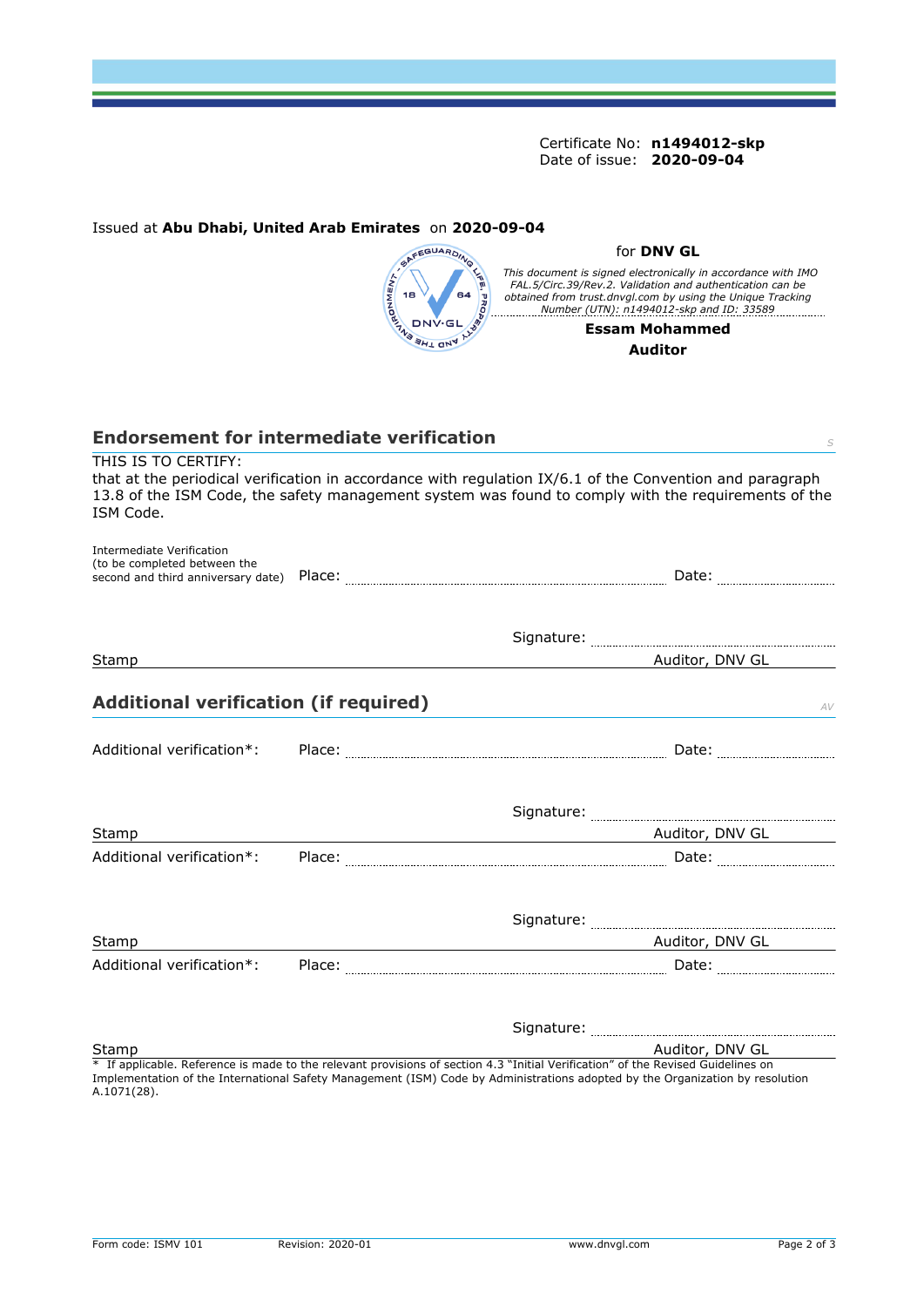Certificate No: **n1494012-skp** Date of issue: **2020-09-04**

# Issued at **Abu Dhabi, United Arab Emirates** on **2020-09-04**



#### for **DNV GL**

This document is signed electronically in accordance with IMO<br>FAL.5/Circ.39/Rev.2. Validation and authentication can be<br>obtained from trust.dnvgl.com by using the Unique Tracking<br>Number (UTN): n1494012-skp and ID: 33589

#### **Essam Mohammed Auditor**

| <b>Endorsement for intermediate verification</b><br>THIS IS TO CERTIFY: |                                                                                                                                                                                                                 |
|-------------------------------------------------------------------------|-----------------------------------------------------------------------------------------------------------------------------------------------------------------------------------------------------------------|
| ISM Code.                                                               | that at the periodical verification in accordance with regulation IX/6.1 of the Convention and paragraph<br>13.8 of the ISM Code, the safety management system was found to comply with the requirements of the |
| <b>Intermediate Verification</b><br>(to be completed between the        |                                                                                                                                                                                                                 |
|                                                                         |                                                                                                                                                                                                                 |
| Stamp                                                                   | Auditor, DNV GL                                                                                                                                                                                                 |
| <b>Additional verification (if required)</b>                            | AV                                                                                                                                                                                                              |
| Additional verification*:                                               |                                                                                                                                                                                                                 |
|                                                                         |                                                                                                                                                                                                                 |
| Stamp                                                                   | Auditor, DNV GL 2014                                                                                                                                                                                            |
| Additional verification*:                                               |                                                                                                                                                                                                                 |
|                                                                         |                                                                                                                                                                                                                 |
| Stamp                                                                   |                                                                                                                                                                                                                 |
| Additional verification*:                                               |                                                                                                                                                                                                                 |
|                                                                         |                                                                                                                                                                                                                 |
| Stamp                                                                   | Auditor, DNV GL                                                                                                                                                                                                 |